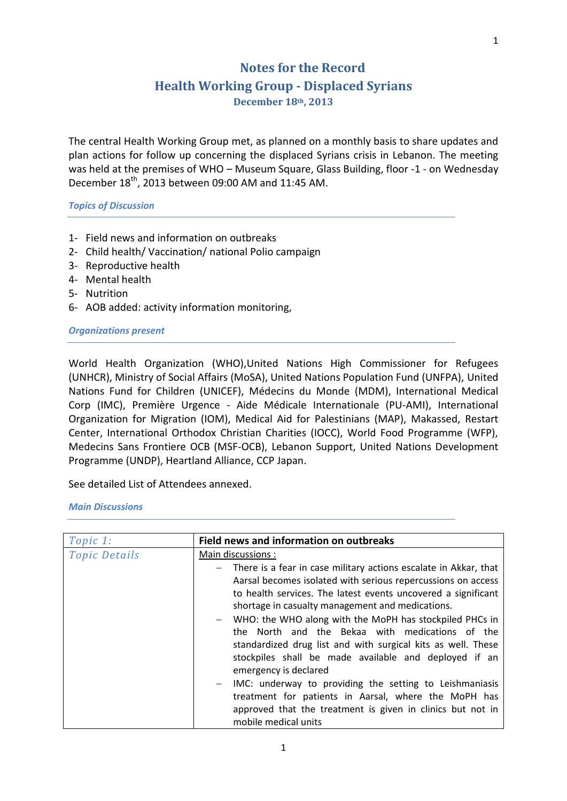## **Notes for the Record**

## **Health Working Group - Displaced Syrians**

**December 18th, 2013**

The central Health Working Group met, as planned on a monthly basis to share updates and plan actions for follow up concerning the displaced Syrians crisis in Lebanon. The meeting was held at the premises of WHO – Museum Square, Glass Building, floor -1 - on Wednesday December 18<sup>th</sup>, 2013 between 09:00 AM and 11:45 AM.

*Topics of Discussion*

- 1- Field news and information on outbreaks
- 2- Child health/ Vaccination/ national Polio campaign
- 3- Reproductive health
- 4- Mental health
- 5- Nutrition
- 6- AOB added: activity information monitoring,

## *Organizations present*

World Health Organization (WHO),United Nations High Commissioner for Refugees (UNHCR), Ministry of Social Affairs (MoSA), United Nations Population Fund (UNFPA), United Nations Fund for Children (UNICEF), Médecins du Monde (MDM), International Medical Corp (IMC), Première Urgence - Aide Médicale Internationale (PU-AMI), International Organization for Migration (IOM), Medical Aid for Palestinians (MAP), Makassed, Restart Center, International Orthodox Christian Charities (IOCC), World Food Programme (WFP), Medecins Sans Frontiere OCB (MSF-OCB), Lebanon Support, United Nations Development Programme (UNDP), Heartland Alliance, CCP Japan.

See detailed List of Attendees annexed.

*Main Discussions* 

| Topic 1:             | <b>Field news and information on outbreaks</b>                                                                                                                                                                                                                                                                                                                                                                                                                                                                                                                                                                                                      |  |
|----------------------|-----------------------------------------------------------------------------------------------------------------------------------------------------------------------------------------------------------------------------------------------------------------------------------------------------------------------------------------------------------------------------------------------------------------------------------------------------------------------------------------------------------------------------------------------------------------------------------------------------------------------------------------------------|--|
| <b>Topic Details</b> | Main discussions:                                                                                                                                                                                                                                                                                                                                                                                                                                                                                                                                                                                                                                   |  |
|                      | There is a fear in case military actions escalate in Akkar, that<br>$ \,$<br>Aarsal becomes isolated with serious repercussions on access<br>to health services. The latest events uncovered a significant<br>shortage in casualty management and medications.<br>- WHO: the WHO along with the MoPH has stockpiled PHCs in<br>the North and the Bekaa with medications of the<br>standardized drug list and with surgical kits as well. These<br>stockpiles shall be made available and deployed if an<br>emergency is declared<br>IMC: underway to providing the setting to Leishmaniasis<br>treatment for patients in Aarsal, where the MoPH has |  |
|                      | approved that the treatment is given in clinics but not in<br>mobile medical units                                                                                                                                                                                                                                                                                                                                                                                                                                                                                                                                                                  |  |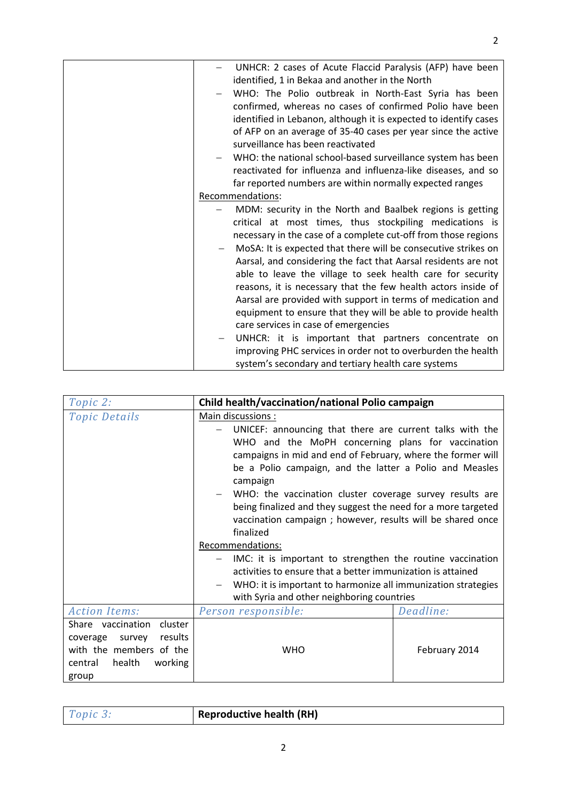| UNHCR: 2 cases of Acute Flaccid Paralysis (AFP) have been        |
|------------------------------------------------------------------|
| identified, 1 in Bekaa and another in the North                  |
| WHO: The Polio outbreak in North-East Syria has been             |
| confirmed, whereas no cases of confirmed Polio have been         |
| identified in Lebanon, although it is expected to identify cases |
| of AFP on an average of 35-40 cases per year since the active    |
| surveillance has been reactivated                                |
| WHO: the national school-based surveillance system has been      |
| reactivated for influenza and influenza-like diseases, and so    |
| far reported numbers are within normally expected ranges         |
| Recommendations:                                                 |
|                                                                  |
| MDM: security in the North and Baalbek regions is getting        |
| critical at most times, thus stockpiling medications is          |
| necessary in the case of a complete cut-off from those regions   |
| MoSA: It is expected that there will be consecutive strikes on   |
| Aarsal, and considering the fact that Aarsal residents are not   |
| able to leave the village to seek health care for security       |
| reasons, it is necessary that the few health actors inside of    |
| Aarsal are provided with support in terms of medication and      |
|                                                                  |
| equipment to ensure that they will be able to provide health     |
| care services in case of emergencies                             |
| UNHCR: it is important that partners concentrate on              |
| improving PHC services in order not to overburden the health     |
| system's secondary and tertiary health care systems              |

| Topic 2:                                                                                                                       | Child health/vaccination/national Polio campaign                                                                                                                                                                                                                                                                                                                                                                                                                                                                                                                                                                                    |               |  |
|--------------------------------------------------------------------------------------------------------------------------------|-------------------------------------------------------------------------------------------------------------------------------------------------------------------------------------------------------------------------------------------------------------------------------------------------------------------------------------------------------------------------------------------------------------------------------------------------------------------------------------------------------------------------------------------------------------------------------------------------------------------------------------|---------------|--|
| <b>Topic Details</b>                                                                                                           | Main discussions :<br>UNICEF: announcing that there are current talks with the<br>WHO and the MoPH concerning plans for vaccination<br>campaigns in mid and end of February, where the former will<br>be a Polio campaign, and the latter a Polio and Measles<br>campaign<br>WHO: the vaccination cluster coverage survey results are<br>being finalized and they suggest the need for a more targeted<br>vaccination campaign ; however, results will be shared once<br>finalized<br>Recommendations:<br>IMC: it is important to strengthen the routine vaccination<br>activities to ensure that a better immunization is attained |               |  |
|                                                                                                                                | WHO: it is important to harmonize all immunization strategies<br>with Syria and other neighboring countries                                                                                                                                                                                                                                                                                                                                                                                                                                                                                                                         |               |  |
| <b>Action Items:</b>                                                                                                           | Person responsible:                                                                                                                                                                                                                                                                                                                                                                                                                                                                                                                                                                                                                 | Deadline:     |  |
| Share vaccination cluster<br>results<br>coverage<br>survey<br>with the members of the<br>health<br>working<br>central<br>group | <b>WHO</b>                                                                                                                                                                                                                                                                                                                                                                                                                                                                                                                                                                                                                          | February 2014 |  |

| Topic: | <b>Reproductive health (RH)</b> |
|--------|---------------------------------|
|        |                                 |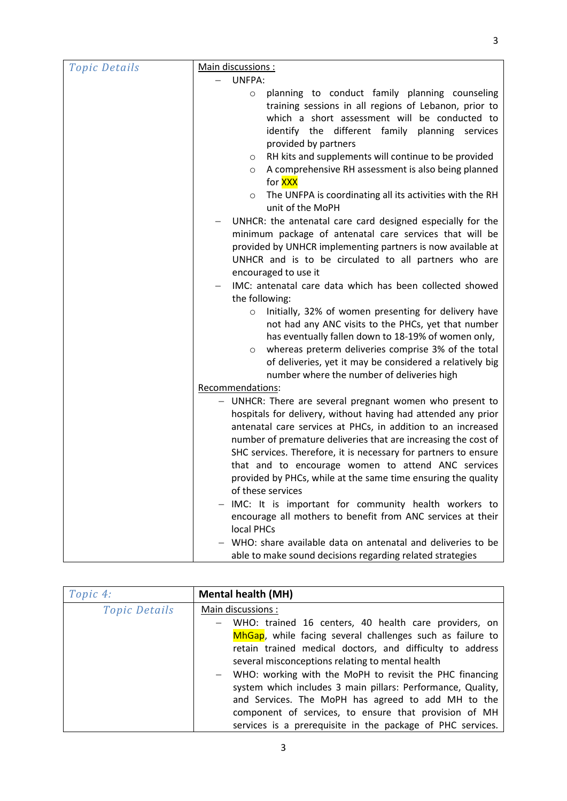| <i>Topic Details</i> | Main discussions :                                                                                                                                                                                                                                                                                                                                                                                                                                                         |  |
|----------------------|----------------------------------------------------------------------------------------------------------------------------------------------------------------------------------------------------------------------------------------------------------------------------------------------------------------------------------------------------------------------------------------------------------------------------------------------------------------------------|--|
|                      | UNFPA:                                                                                                                                                                                                                                                                                                                                                                                                                                                                     |  |
|                      | planning to conduct family planning counseling<br>$\circ$<br>training sessions in all regions of Lebanon, prior to<br>which a short assessment will be conducted to<br>identify the different family planning services<br>provided by partners                                                                                                                                                                                                                             |  |
|                      | RH kits and supplements will continue to be provided<br>$\circ$<br>A comprehensive RH assessment is also being planned<br>O<br>for <b>XXX</b>                                                                                                                                                                                                                                                                                                                              |  |
|                      | The UNFPA is coordinating all its activities with the RH<br>$\circ$<br>unit of the MoPH                                                                                                                                                                                                                                                                                                                                                                                    |  |
|                      | UNHCR: the antenatal care card designed especially for the<br>minimum package of antenatal care services that will be<br>provided by UNHCR implementing partners is now available at<br>UNHCR and is to be circulated to all partners who are<br>encouraged to use it                                                                                                                                                                                                      |  |
|                      | IMC: antenatal care data which has been collected showed                                                                                                                                                                                                                                                                                                                                                                                                                   |  |
|                      | the following:                                                                                                                                                                                                                                                                                                                                                                                                                                                             |  |
|                      | Initially, 32% of women presenting for delivery have<br>$\circ$<br>not had any ANC visits to the PHCs, yet that number<br>has eventually fallen down to 18-19% of women only,<br>whereas preterm deliveries comprise 3% of the total<br>O<br>of deliveries, yet it may be considered a relatively big<br>number where the number of deliveries high                                                                                                                        |  |
|                      | Recommendations:                                                                                                                                                                                                                                                                                                                                                                                                                                                           |  |
|                      | - UNHCR: There are several pregnant women who present to<br>hospitals for delivery, without having had attended any prior<br>antenatal care services at PHCs, in addition to an increased<br>number of premature deliveries that are increasing the cost of<br>SHC services. Therefore, it is necessary for partners to ensure<br>that and to encourage women to attend ANC services<br>provided by PHCs, while at the same time ensuring the quality<br>of these services |  |
|                      | IMC: It is important for community health workers to<br>encourage all mothers to benefit from ANC services at their<br>local PHCs                                                                                                                                                                                                                                                                                                                                          |  |
|                      | WHO: share available data on antenatal and deliveries to be<br>able to make sound decisions regarding related strategies                                                                                                                                                                                                                                                                                                                                                   |  |

| Topic 4:             | <b>Mental health (MH)</b>                                   |  |
|----------------------|-------------------------------------------------------------|--|
| <b>Topic Details</b> | Main discussions :                                          |  |
|                      | WHO: trained 16 centers, 40 health care providers, on       |  |
|                      | MhGap, while facing several challenges such as failure to   |  |
|                      | retain trained medical doctors, and difficulty to address   |  |
|                      | several misconceptions relating to mental health            |  |
|                      | - WHO: working with the MoPH to revisit the PHC financing   |  |
|                      | system which includes 3 main pillars: Performance, Quality, |  |
|                      | and Services. The MoPH has agreed to add MH to the          |  |
|                      | component of services, to ensure that provision of MH       |  |
|                      | services is a prerequisite in the package of PHC services.  |  |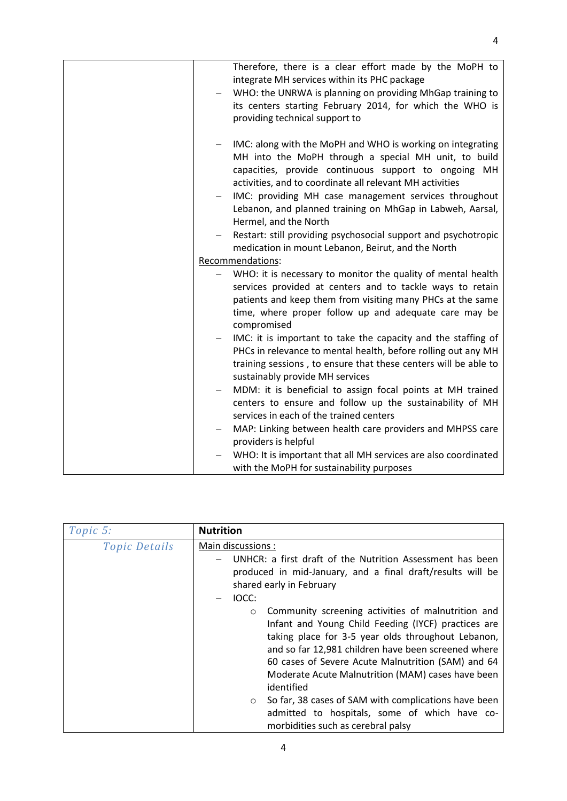| Therefore, there is a clear effort made by the MoPH to<br>integrate MH services within its PHC package<br>WHO: the UNRWA is planning on providing MhGap training to<br>its centers starting February 2014, for which the WHO is<br>providing technical support to                                                                                                                     |
|---------------------------------------------------------------------------------------------------------------------------------------------------------------------------------------------------------------------------------------------------------------------------------------------------------------------------------------------------------------------------------------|
| IMC: along with the MoPH and WHO is working on integrating<br>MH into the MoPH through a special MH unit, to build<br>capacities, provide continuous support to ongoing MH<br>activities, and to coordinate all relevant MH activities<br>IMC: providing MH case management services throughout<br>Lebanon, and planned training on MhGap in Labweh, Aarsal,<br>Hermel, and the North |
| Restart: still providing psychosocial support and psychotropic<br>$\overline{\phantom{0}}$<br>medication in mount Lebanon, Beirut, and the North<br>Recommendations:                                                                                                                                                                                                                  |
|                                                                                                                                                                                                                                                                                                                                                                                       |
| WHO: it is necessary to monitor the quality of mental health<br>services provided at centers and to tackle ways to retain<br>patients and keep them from visiting many PHCs at the same<br>time, where proper follow up and adequate care may be<br>compromised                                                                                                                       |
| IMC: it is important to take the capacity and the staffing of<br>PHCs in relevance to mental health, before rolling out any MH<br>training sessions, to ensure that these centers will be able to<br>sustainably provide MH services                                                                                                                                                  |
| MDM: it is beneficial to assign focal points at MH trained<br>centers to ensure and follow up the sustainability of MH<br>services in each of the trained centers                                                                                                                                                                                                                     |
| MAP: Linking between health care providers and MHPSS care<br>providers is helpful                                                                                                                                                                                                                                                                                                     |
| WHO: It is important that all MH services are also coordinated<br>with the MoPH for sustainability purposes                                                                                                                                                                                                                                                                           |

| Topic 5:             | <b>Nutrition</b>                                                                                                                                                                                                                                                                                                                                           |  |
|----------------------|------------------------------------------------------------------------------------------------------------------------------------------------------------------------------------------------------------------------------------------------------------------------------------------------------------------------------------------------------------|--|
| <b>Topic Details</b> | Main discussions :                                                                                                                                                                                                                                                                                                                                         |  |
|                      | UNHCR: a first draft of the Nutrition Assessment has been<br>produced in mid-January, and a final draft/results will be<br>shared early in February                                                                                                                                                                                                        |  |
|                      | <b>IOCC:</b>                                                                                                                                                                                                                                                                                                                                               |  |
|                      | Community screening activities of malnutrition and<br>$\circ$<br>Infant and Young Child Feeding (IYCF) practices are<br>taking place for 3-5 year olds throughout Lebanon,<br>and so far 12,981 children have been screened where<br>60 cases of Severe Acute Malnutrition (SAM) and 64<br>Moderate Acute Malnutrition (MAM) cases have been<br>identified |  |
|                      | So far, 38 cases of SAM with complications have been<br>$\circ$<br>admitted to hospitals, some of which have co-<br>morbidities such as cerebral palsy                                                                                                                                                                                                     |  |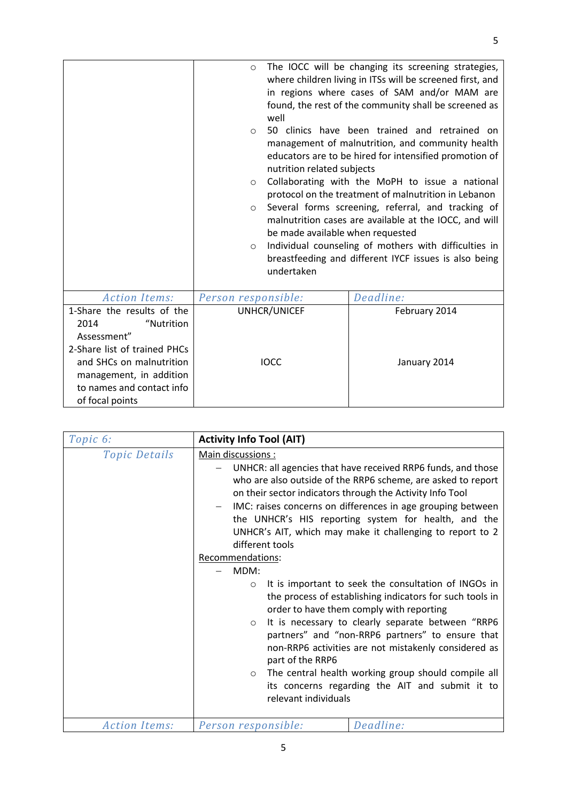|                              | $\circ$<br>well<br>$\circ$<br>nutrition related subjects<br>$\circ$<br>$\circ$<br>be made available when requested<br>$\circ$<br>undertaken | The IOCC will be changing its screening strategies,<br>where children living in ITSs will be screened first, and<br>in regions where cases of SAM and/or MAM are<br>found, the rest of the community shall be screened as<br>50 clinics have been trained and retrained on<br>management of malnutrition, and community health<br>educators are to be hired for intensified promotion of<br>Collaborating with the MoPH to issue a national<br>protocol on the treatment of malnutrition in Lebanon<br>Several forms screening, referral, and tracking of<br>malnutrition cases are available at the IOCC, and will<br>Individual counseling of mothers with difficulties in<br>breastfeeding and different IYCF issues is also being |
|------------------------------|---------------------------------------------------------------------------------------------------------------------------------------------|---------------------------------------------------------------------------------------------------------------------------------------------------------------------------------------------------------------------------------------------------------------------------------------------------------------------------------------------------------------------------------------------------------------------------------------------------------------------------------------------------------------------------------------------------------------------------------------------------------------------------------------------------------------------------------------------------------------------------------------|
| <b>Action Items:</b>         | Person responsible:                                                                                                                         | Deadline:                                                                                                                                                                                                                                                                                                                                                                                                                                                                                                                                                                                                                                                                                                                             |
| 1-Share the results of the   | UNHCR/UNICEF                                                                                                                                | February 2014                                                                                                                                                                                                                                                                                                                                                                                                                                                                                                                                                                                                                                                                                                                         |
| 2014<br>"Nutrition           |                                                                                                                                             |                                                                                                                                                                                                                                                                                                                                                                                                                                                                                                                                                                                                                                                                                                                                       |
| Assessment"                  |                                                                                                                                             |                                                                                                                                                                                                                                                                                                                                                                                                                                                                                                                                                                                                                                                                                                                                       |
| 2-Share list of trained PHCs |                                                                                                                                             |                                                                                                                                                                                                                                                                                                                                                                                                                                                                                                                                                                                                                                                                                                                                       |
| and SHCs on malnutrition     | <b>IOCC</b>                                                                                                                                 | January 2014                                                                                                                                                                                                                                                                                                                                                                                                                                                                                                                                                                                                                                                                                                                          |
| management, in addition      |                                                                                                                                             |                                                                                                                                                                                                                                                                                                                                                                                                                                                                                                                                                                                                                                                                                                                                       |
| to names and contact info    |                                                                                                                                             |                                                                                                                                                                                                                                                                                                                                                                                                                                                                                                                                                                                                                                                                                                                                       |
| of focal points              |                                                                                                                                             |                                                                                                                                                                                                                                                                                                                                                                                                                                                                                                                                                                                                                                                                                                                                       |

| Topic 6:             | <b>Activity Info Tool (AIT)</b>                                                                                                                                                                                                                                                                                                                                                                                                                                                                                                                                                                                                                                                                                                                                                                                                                                                                                                                                            |  |
|----------------------|----------------------------------------------------------------------------------------------------------------------------------------------------------------------------------------------------------------------------------------------------------------------------------------------------------------------------------------------------------------------------------------------------------------------------------------------------------------------------------------------------------------------------------------------------------------------------------------------------------------------------------------------------------------------------------------------------------------------------------------------------------------------------------------------------------------------------------------------------------------------------------------------------------------------------------------------------------------------------|--|
| <b>Topic Details</b> | Main discussions :<br>UNHCR: all agencies that have received RRP6 funds, and those<br>who are also outside of the RRP6 scheme, are asked to report<br>on their sector indicators through the Activity Info Tool<br>IMC: raises concerns on differences in age grouping between<br>the UNHCR's HIS reporting system for health, and the<br>UNHCR's AIT, which may make it challenging to report to 2<br>different tools<br>Recommendations:<br>MDM:<br>It is important to seek the consultation of INGOs in<br>$\circ$<br>the process of establishing indicators for such tools in<br>order to have them comply with reporting<br>It is necessary to clearly separate between "RRP6<br>$\circ$<br>partners" and "non-RRP6 partners" to ensure that<br>non-RRP6 activities are not mistakenly considered as<br>part of the RRP6<br>The central health working group should compile all<br>$\circ$<br>its concerns regarding the AIT and submit it to<br>relevant individuals |  |
| <b>Action Items:</b> | Deadline:<br>Person responsible:                                                                                                                                                                                                                                                                                                                                                                                                                                                                                                                                                                                                                                                                                                                                                                                                                                                                                                                                           |  |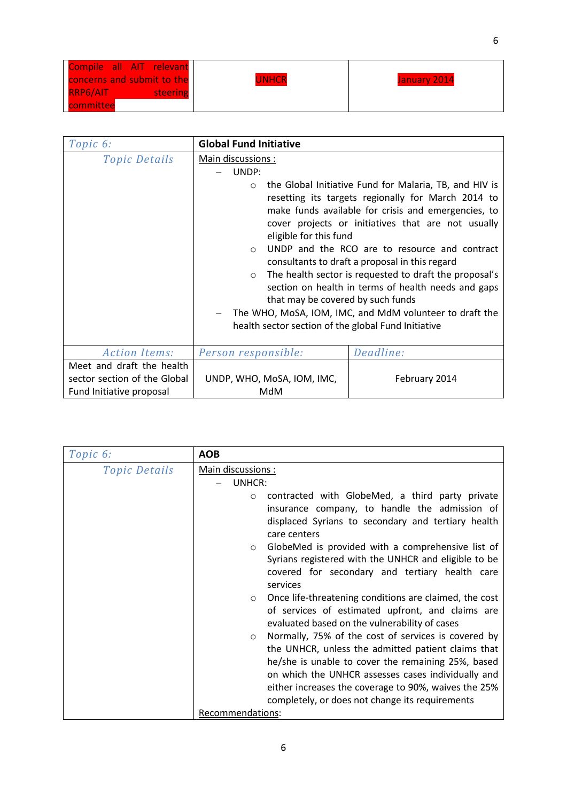| Compile all AIT relevant    |              |                     |
|-----------------------------|--------------|---------------------|
| concerns and submit to the  | <b>UNHCR</b> | <b>January 2014</b> |
| <b>RRP6/AIT</b><br>steering |              |                     |
| committee                   |              |                     |

| Topic 6:                                                                              | <b>Global Fund Initiative</b>                                                                                                                                                                                                                                                                                                                                                                                                                                                                                                                                                                                                                                                                 |               |
|---------------------------------------------------------------------------------------|-----------------------------------------------------------------------------------------------------------------------------------------------------------------------------------------------------------------------------------------------------------------------------------------------------------------------------------------------------------------------------------------------------------------------------------------------------------------------------------------------------------------------------------------------------------------------------------------------------------------------------------------------------------------------------------------------|---------------|
| <b>Topic Details</b>                                                                  | Main discussions:<br>UNDP:<br>the Global Initiative Fund for Malaria, TB, and HIV is<br>$\circ$<br>resetting its targets regionally for March 2014 to<br>make funds available for crisis and emergencies, to<br>cover projects or initiatives that are not usually<br>eligible for this fund<br>UNDP and the RCO are to resource and contract<br>$\circ$<br>consultants to draft a proposal in this regard<br>The health sector is requested to draft the proposal's<br>$\circ$<br>section on health in terms of health needs and gaps<br>that may be covered by such funds<br>The WHO, MoSA, IOM, IMC, and MdM volunteer to draft the<br>health sector section of the global Fund Initiative |               |
| <b>Action Items:</b>                                                                  | Person responsible:                                                                                                                                                                                                                                                                                                                                                                                                                                                                                                                                                                                                                                                                           | Deadline:     |
| Meet and draft the health<br>sector section of the Global<br>Fund Initiative proposal | UNDP, WHO, MoSA, IOM, IMC,<br>MdM                                                                                                                                                                                                                                                                                                                                                                                                                                                                                                                                                                                                                                                             | February 2014 |

| Topic 6:             | <b>AOB</b>                                                                                           |  |  |  |
|----------------------|------------------------------------------------------------------------------------------------------|--|--|--|
| <i>Topic Details</i> | Main discussions :                                                                                   |  |  |  |
|                      | UNHCR:                                                                                               |  |  |  |
|                      | contracted with GlobeMed, a third party private<br>$\circ$                                           |  |  |  |
|                      | insurance company, to handle the admission of                                                        |  |  |  |
|                      | displaced Syrians to secondary and tertiary health                                                   |  |  |  |
|                      | care centers                                                                                         |  |  |  |
|                      | GlobeMed is provided with a comprehensive list of<br>$\circ$                                         |  |  |  |
|                      | Syrians registered with the UNHCR and eligible to be                                                 |  |  |  |
|                      | covered for secondary and tertiary health care                                                       |  |  |  |
|                      | services                                                                                             |  |  |  |
|                      | Once life-threatening conditions are claimed, the cost<br>$\circ$                                    |  |  |  |
|                      | of services of estimated upfront, and claims are                                                     |  |  |  |
|                      | evaluated based on the vulnerability of cases<br>Normally, 75% of the cost of services is covered by |  |  |  |
|                      | $\circ$<br>the UNHCR, unless the admitted patient claims that                                        |  |  |  |
|                      | he/she is unable to cover the remaining 25%, based                                                   |  |  |  |
|                      | on which the UNHCR assesses cases individually and                                                   |  |  |  |
|                      | either increases the coverage to 90%, waives the 25%                                                 |  |  |  |
|                      | completely, or does not change its requirements                                                      |  |  |  |
|                      | Recommendations:                                                                                     |  |  |  |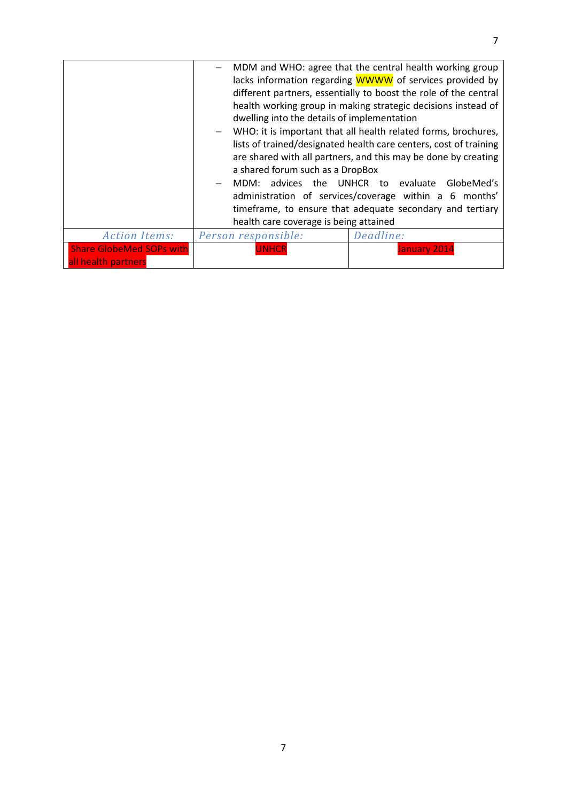|                                                        | MDM and WHO: agree that the central health working group<br>lacks information regarding WWWW of services provided by<br>different partners, essentially to boost the role of the central<br>health working group in making strategic decisions instead of<br>dwelling into the details of implementation<br>WHO: it is important that all health related forms, brochures,<br>lists of trained/designated health care centers, cost of training<br>are shared with all partners, and this may be done by creating<br>a shared forum such as a DropBox |                                                                                                                                                                                                  |  |  |  |
|--------------------------------------------------------|-------------------------------------------------------------------------------------------------------------------------------------------------------------------------------------------------------------------------------------------------------------------------------------------------------------------------------------------------------------------------------------------------------------------------------------------------------------------------------------------------------------------------------------------------------|--------------------------------------------------------------------------------------------------------------------------------------------------------------------------------------------------|--|--|--|
|                                                        |                                                                                                                                                                                                                                                                                                                                                                                                                                                                                                                                                       |                                                                                                                                                                                                  |  |  |  |
|                                                        | advices the<br>MDM:                                                                                                                                                                                                                                                                                                                                                                                                                                                                                                                                   | UNHCR to evaluate<br>GlobeMed's<br>administration of services/coverage within a 6 months'<br>timeframe, to ensure that adequate secondary and tertiary<br>health care coverage is being attained |  |  |  |
| <b>Action Items:</b>                                   | Person responsible:                                                                                                                                                                                                                                                                                                                                                                                                                                                                                                                                   | Deadline:                                                                                                                                                                                        |  |  |  |
| <b>Share GlobeMed SOPs with</b><br>all health partners | <b>UNHCR</b>                                                                                                                                                                                                                                                                                                                                                                                                                                                                                                                                          | January 2014                                                                                                                                                                                     |  |  |  |